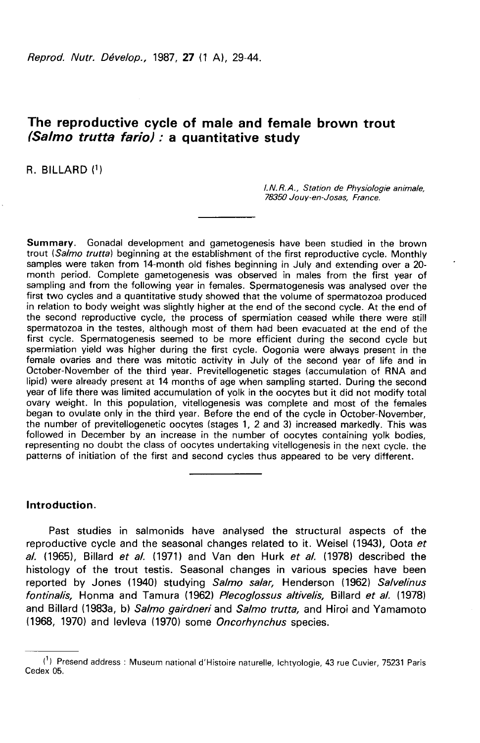Reprod. Nutr. Dévelop., 1987, 27 (1 A), 29-44.

# The reproductive cycle of male and female brown trout (Salmo trutta fario): a quantitative study

R. BILLARD (1)

I.N.R.A., Station de Physiologie animale, 78350 Jouy-en-Josas, France.

Summary. Gonadal development and gametogenesis have been studied in the brown trout (Salmo trutta) beginning at the establishment of the first reproductive cycle. Monthly samples were taken from 14-month old fishes beginning in July and extending over a 20 month period. Complete gametogenesis was observed in males from the first year of sampling and from the following year in females. Spermatogenesis was analysed over the first two cycles and a quantitative study showed that the volume of spermatozoa produced in relation to body weight was slightly higher at the end of the second cycle. At the end of the second reproductive cycle, the process of spermiation ceased while there were still spermatozoa in the testes, although most of them had been evacuated at the end of the first cycle. Spermatogenesis seemed to be more efficient during the second cycle but spermiation yield was higher during the first cycle. Oogonia were always present in the female ovaries and there was mitotic activity in July of the second year of life and in October-November of the third year. Previtellogenetic stages (accumulation of RNA and lipid) were already present at 14 months of age when sampling started. During the second year of life there was limited accumulation of yolk in the oocytes but it did not modify total ovary weight. In this population, vitellogenesis was complete and most of the females began to ovulate only in the third year. Before the end of the cycle in October-November,<br>the number of previtellogenetic oocytes (stages 1, 2 and 3) increased markedly. This was followed in December by an increase in the number of oocytes containing yolk bodies, representing no doubt the class of oocytes undertaking vitellogenesis in the next cycle. the patterns of initiation of the first and second cycles thus appeared to be very different.

## Introduction.

Past studies in salmonids have analysed the structural aspects of the reproductive cycle and the seasonal changes related to it. Weisel (1943), Oota et al.  $(1965)$ , Billard et al.  $(1971)$  and Van den Hurk et al.  $(1978)$  described the histology of the trout testis. Seasonal changes in various species have been reported by Jones (1940) studying Salmo salar, Henderson (1962) Salvelinus fontinalis, Honma and Tamura (1962) Plecoglossus altivelis, Billard et al. (1978) and Billard (1983a, b) Salmo gairdneri and Salmo trutta, and Hiroi and Yamamoto (1968, 1970) and levleva (1970) some Oncorhynchus species.

<sup>(!)</sup> Presend address : Museum national d'Histoire naturelle, lchtyologie, 43 rue Cuvier, 75231 Paris Cedex 05.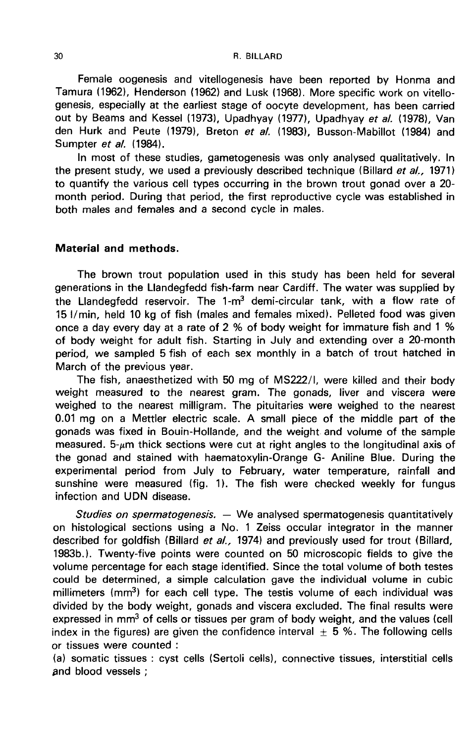#### R. BILLARD

Female oogenesis and vitellogenesis have been reported by Honma and Tamura (1962), Henderson (1962) and Lusk (1968). More specific work on vitellogenesis, especially at the earliest stage of oocyte development, has been carried out by Beams and Kessel (1973), Upadhyay (1977), Upadhyay et al. (1978), Van den Hurk and Peute (1979), Breton et al. (1983), Busson-Mabillot (1984) and Sumpter et a/. (1984).

In most of these studies, gametogenesis was only analysed qualitatively. In the present study, we used a previously described technique (Billard et al., 1971) to quantify the various cell types occurring in the brown trout gonad over a 20 month period. During that period, the first reproductive cycle was established in both males and females and a second cycle in males.

## Material and methods.

The brown trout population used in this study has been held for several generations in the Llandegfedd fish-farm near Cardiff. The water was supplied by the Llandegfedd reservoir. The 1-m<sup>3</sup> demi-circular tank, with a flow rate of<br>15 l/min, held 10 kg of fish (males and females mixed). Pelleted food was given once a day every day at a rate of 2 % of body weight for immature fish and 1 % of body weight for adult fish. Starting in July and extending over a 20-month period, we sampled 5 fish of each sex monthly in a batch of trout hatched in March of the previous year.

The fish, anaesthetized with 50 mg of MS222/1, were killed and their body weight measured to the nearest gram. The gonads, liver and viscera were weighed to the nearest milligram. The pituitaries were weighed to the nearest 0.01 mg on a Mettler electric scale. A small piece of the middle part of the gonads was fixed in Bouin-Hollande, and the weight and volume of the sample measured.  $5-\mu m$  thick sections were cut at right angles to the longitudinal axis of the gonad and stained with haematoxylin-Orange G- Aniline Blue. During the experimental period from July to February, water temperature, rainfall and sunshine were measured (fig. 1). The fish were checked weekly for fungus infection and UDN disease.

Studies on spermatogenesis.  $-$  We analysed spermatogenesis quantitatively on histological sections using a No. 1 Zeiss occular integrator in the manner described for goldfish (Billard et al., 1974) and previously used for trout (Billard, 1983b.). Twenty-five points were counted on 50 microscopic fields to give the volume percentage for each stage identified. Since the total volume of both testes<br>could be determined, a simple calculation gave the individual volume in cubic<br>millimeters (mm<sup>3</sup>) for each cell type. The testis volume of could be determined, a simple calculation gave the individual volume in cubic<br>millimeters (mm<sup>3</sup>) for each cell type. The testis volume of each individual was divided by the body weight, gonads and viscera excluded. The final results were expressed in mm<sup>3</sup> of cells or tissues per gram of body weight, and the values (cell index in the figures) are given the confidence interval  $\pm$  5 %. The following cells or tissues were counted :

(a) somatic tissues : cyst cells (Sertoli cells), connective tissues, interstitial cells ,and blood vessels ;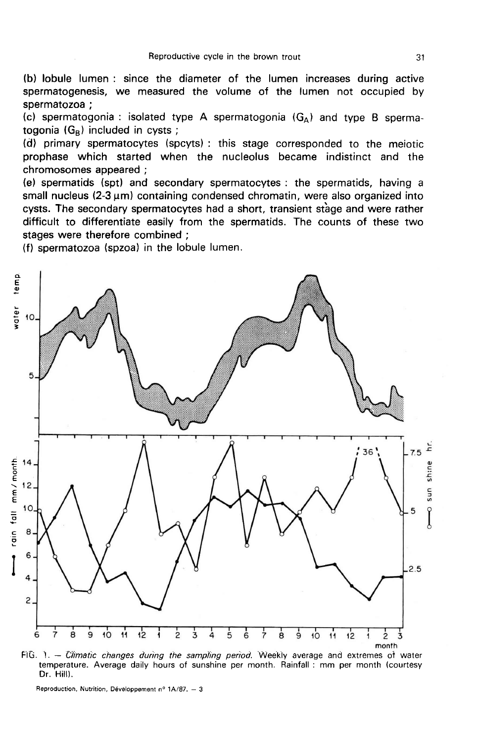(b) lobule lumen : since the diameter of the lumen increases during active spermatogenesis, we measured the volume of the lumen not occupied by spermatozoa ;

spermatozoa ;<br>(c) spermatogonia : isolated type A spermatogonia (G<sub>A</sub>) and type B sperma-<br>tegenia (G ) included in exate ; (c) spermatogonia : isolated ty<br>togonia (G<sub>B</sub>) included in cysts ;<br>(d) primery energeterates (an

(d) primary spermatocytes (spcyts) : this stage corresponded to the meiotic prophase which started when the nucleolus became indistinct and the chromosomes appeared ;

(e) spermatids (spt) and secondary spermatocytes : the spermatids, having a small nucleus  $(2-3 \mu m)$  containing condensed chromatin, were also organized into cysts. The secondary spermatocytes had a short, transient stage and were rather difficult to differentiate easily from the spermatids. The counts of these two stages were therefore combined ;

(f) spermatozoa (spzoa) in the lobule lumen.



FIG. 1. - Climatic changes during the sampling period. Weekly average and extremes of water temperature. Average daily hours of sunshine per month. Rainfall: mm per month (courtesy Dr. Hill).

Reproduction, Nutrition, Développement nº 1A/87. - 3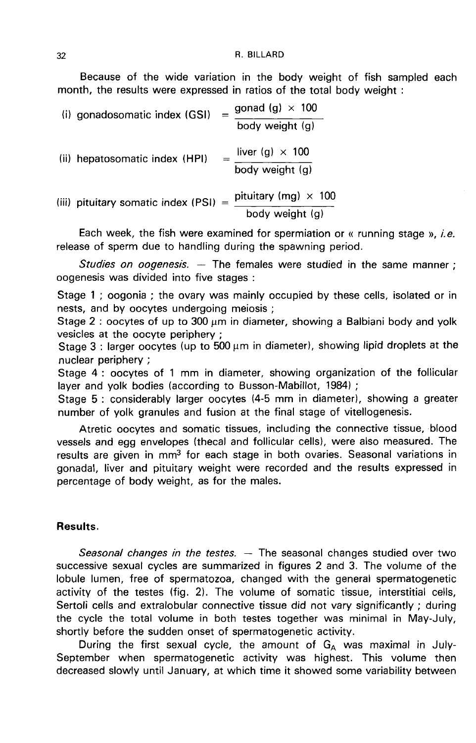Because of the wide variation in the body weight of fish sampled each month, the results were expressed in ratios of the total body weight :

| (i) gonadosomatic index (GSI)         | $=$ | gonad (g) $\times$ 100                         |
|---------------------------------------|-----|------------------------------------------------|
|                                       |     | body weight (g)                                |
| (ii) hepatosomatic index (HPI)        |     | liver (g) $\times$ 100<br>body weight (g)      |
| (iii) pituitary somatic index (PSI) = |     | pituitary (mg) $\times$ 100<br>body weight (g) |

Each week, the fish were examined for spermiation or « running stage », *i.e.* release of sperm due to handling during the spawning period.

Studies on oogenesis.  $-$  The females were studied in the same manner : oogenesis was divided into five stages :

Stage 1 ; oogonia ; the ovary was mainly occupied by these cells, isolated or in nests, and by oocytes undergoing meiosis ;

Stage 2 : oocytes of up to 300  $\mu$ m in diameter, showing a Balbiani body and yolk vesicles at the oocyte periphery ;

Stage  $3$  : larger oocytes (up to 500  $\mu$ m in diameter), showing lipid droplets at the nuclear periphery ;

Stage 4 : oocytes of 1 mm in diameter, showing organization of the follicular layer and yolk bodies (according to Busson-Mabillot, 1984) ;

Stage 5 : considerably larger oocytes (4-5 mm in diameter), showing a greater number of yolk granules and fusion at the final stage of vitellogenesis.

Atretic oocytes and somatic tissues, including the connective tissue, blood vessels and egg envelopes (thecal and follicular cells), were also measured. The results are given in mm3 for each stage in both ovaries. Seasonal variations in gonadal, liver and pituitary weight were recorded and the results expressed in percentage of body weight, as for the males.

# Results.

Seasonal changes in the testes.  $-$  The seasonal changes studied over two successive sexual cycles are summarized in figures 2 and 3. The volume of the lobule lumen, free of spermatozoa, changed with the general spermatogenetic activity of the testes (fig. 2). The volume of somatic tissue, interstitial cells, Sertoli cells and extralobular connective tissue did not vary significantly ; during the cycle the total volume in both testes together was minimal in May-July, shortly before the sudden onset of spermatogenetic activity.

During the first sexual cycle, the amount of  $G_A$  was maximal in July-September when spermatogenetic activity was highest. This volume then decreased slowly until January, at which time it showed some variability between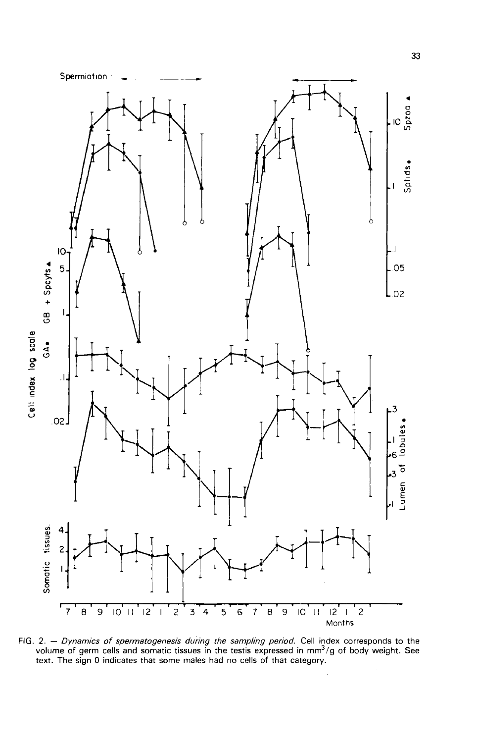

FIG. 2. – Dynamics of spermatogenesis during the sampling period. Cell index corresponds to the volume of germ cells and somatic tissues in the testis expressed in mm<sup>3</sup>/g of body weight. See text. The sign 0 indicates that some males had no cells of that category.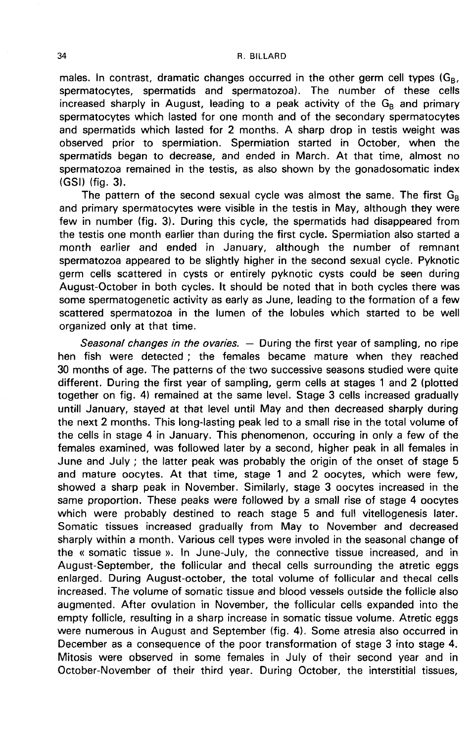males. In contrast, dramatic changes occurred in the other germ cell types (G<sub>B</sub>, spermatocytes, spermatids and spermatozoa). The number of these cells increased sharply in August, leading to a peak activity of the  $G_B$  and primary spermatocytes which lasted for one month and of the secondary spermatocytes and spermatids which lasted for 2 months. A sharp drop in testis weight was observed prior to spermiation. Spermiation started in October, when the spermatids began to decrease, and ended in March. At that time, almost no spermatozoa remained in the testis, as also shown by the gonadosomatic index (GSI) (fig. 3).

The pattern of the second sexual cycle was almost the same. The first  $G_B$ and primary spermatocytes were visible in the testis in May, although they were few in number (fig. 3). During this cycle, the spermatids had disappeared from the testis one month earlier than during the first cycle. Spermiation also started a month earlier and ended in January, although the number of remnant spermatozoa appeared to be slightly higher in the second sexual cycle. Pyknotic germ cells scattered in cysts or entirely pyknotic cysts could be seen during August-October in both cycles. It should be noted that in both cycles there was some spermatogenetic activity as early as June, leading to the formation of a few scattered spermatozoa in the lumen of the lobules which started to be well organized only at that time.

Seasonal changes in the ovaries.  $-$  During the first year of sampling, no ripe hen fish were detected ; the females became mature when they reached 30 months of age. The patterns of the two successive seasons studied were quite different. During the first year of sampling, germ cells at stages 1 and 2 (plotted together on fig. 4) remained at the same level. Stage 3 cells increased gradually untill January, stayed at that level until May and then decreased sharply during the next 2 months. This long-lasting peak led to a small rise in the total volume of the cells in stage 4 in January. This phenomenon, occuring in only a few of the females examined, was followed later by a second, higher peak in all females in June and July ; the latter peak was probably the origin of the onset of stage 5 and mature oocytes. At that time, stage 1 and 2 oocytes, which were few, showed a sharp peak in November. Similarly, stage 3 oocytes increased in the same proportion. These peaks were followed by a small rise of stage 4 oocytes which were probably destined to reach stage 5 and full vitellogenesis later. Somatic tissues increased gradually from May to November and decreased sharply within a month. Various cell types were involed in the seasonal change of the « somatic tissue ». In June-July, the connective tissue increased, and in August-September, the follicular and thecal cells surrounding the atretic eggs enlarged. During August-october, the total volume of follicular and thecal cells increased. The volume of somatic tissue and blood vessels outside the follicle also augmented. After ovulation in November, the follicular cells expanded into the empty follicle, resulting in a sharp increase in somatic tissue volume. Atretic eggs were numerous in August and September (fig. 4). Some atresia also occurred in December as a consequence of the poor transformation of stage 3 into stage 4. Mitosis were observed in some females in July of their second year and in October-November of their third year. During October, the interstitial tissues,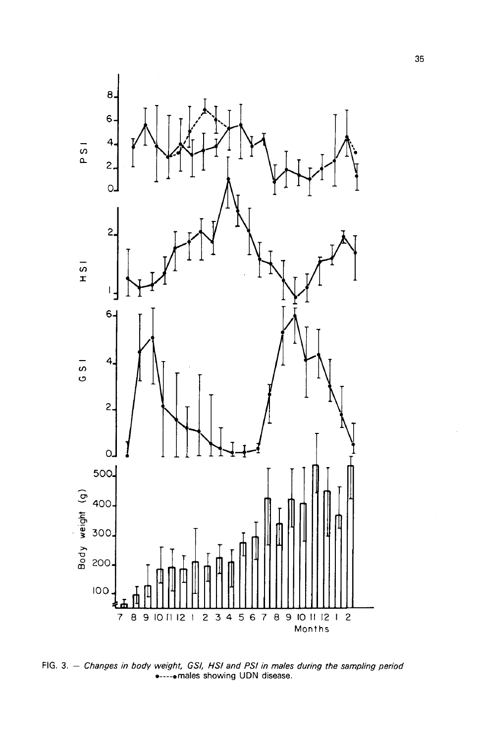

FIG. 3. - Changes in body weight, GSI, HSI and PSI in males during the sampling period  $\bullet$ ---- $\bullet$  males showing UDN disease.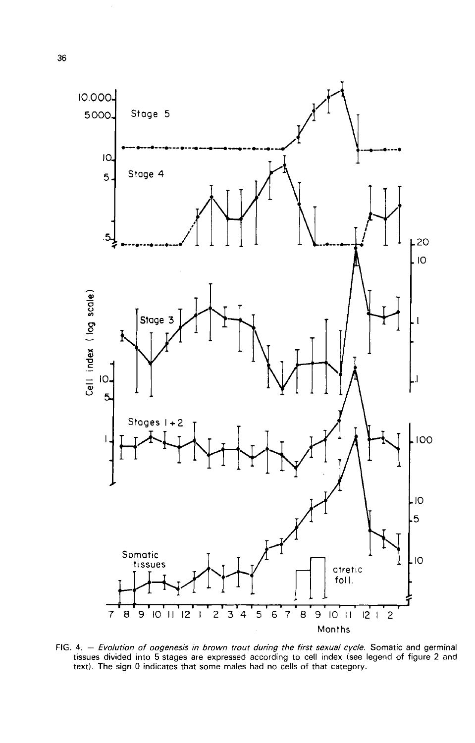

FIG. 4. - Evolution of oogenesis in brown trout during the first sexual cycle. Somatic and germinal tissues divided into 5 stages are expressed according to cell index (see legend of figure 2 and text). The sign 0 indicates that some males had no cells of that category.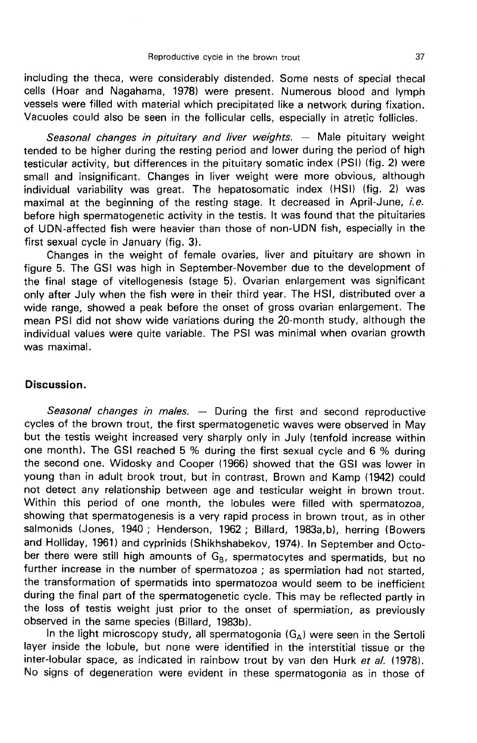including the theca, were considerably distended. Some nests of special thecal cells (Hoar and Nagahama, 1978) were present. Numerous blood and lymph vessels were filled with material which precipitated like a network during fixation. Vacuoles could also be seen in the follicular cells, especially in atretic follicles.

Seasonal changes in pituitary and liver weights. - Male pituitary weight tended to be higher during the resting period and lower during the period of high testicular activity, but differences in the pituitary somatic index (PSI) (fig. 2) were small and insignificant. Changes in liver weight were more obvious, although individual variability was great. The hepatosomatic index (HSI) (fig. 2) was maximal at the beginning of the resting stage. It decreased in April-June, i.e. before high spermatogenetic activity in the testis. It was found that the pituitaries of UDN-affected fish were heavier than those of non-UDN fish, especially in the first sexual cycle in January (fig. 3).

Changes in the weight of female ovaries, liver and pituitary are shown in figure 5. The GSI was high in September-November due to the development of the final stage of vitellogenesis (stage 5). Ovarian enlargement was significant only after July when the fish were in their third year. The HSI, distributed over a wide range, showed a peak before the onset of gross ovarian enlargement. The mean PSI did not show wide variations during the 20-month study, although the individual values were quite variable. The PSI was minimal when ovarian growth was maximal.

### Discussion.

Seasonal changes in males.  $-$  During the first and second reproductive cycles of the brown trout, the first spermatogenetic waves were observed in May but the testis weight increased very sharply only in July (tenfold increase within one month). The GSI reached 5 % during the first sexual cycle and 6 % during the second one. Widosky and Cooper (1966) showed that the GSI was lower in young than in adult brook trout, but in contrast, Brown and Kamp (1942) could not detect any relationship between age and testicular weight in brown trout. Within this period of one month, the lobules were filled with spermatozoa, showing that spermatogenesis is a very rapid process in brown trout, as in other salmonids (Jones, 1940 ; Henderson, 1962 ; Billard, 1983a,b), herring (Bowers and Holliday, 1961) and cyprinids (Shikhshabekov, 1974). In September and October there were still high amounts of  $G_B$ , spermatocytes and spermatids, but no further increase in the number of spermatozoa ; as spermiation had not started, the transformation of spermatids into spermatozoa would seem to be inefficient during the final part of the spermatogenetic cycle. This may be reflected partly in the loss of testis weight just prior to the onset of spermiation, as previously observed in the same species (Billard, 1983b).

In the light microscopy study, all spermatogonia  $(G_A)$  were seen in the Sertoli layer inside the lobule, but none were identified in the interstitial tissue or the inter-lobular space, as indicated in rainbow trout by van den Hurk et al. (1978). No signs of degeneration were evident in these spermatogonia as in those of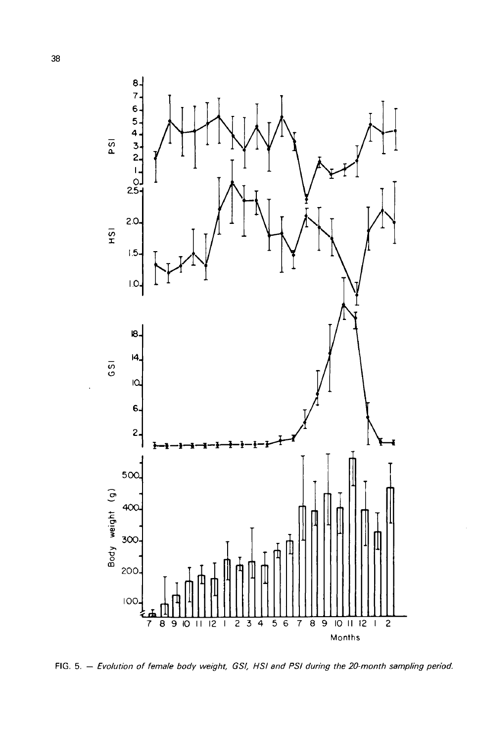

FIG. 5. - Evolution of female body weight, GSI, HSI and PSI during the 20-month sampling period.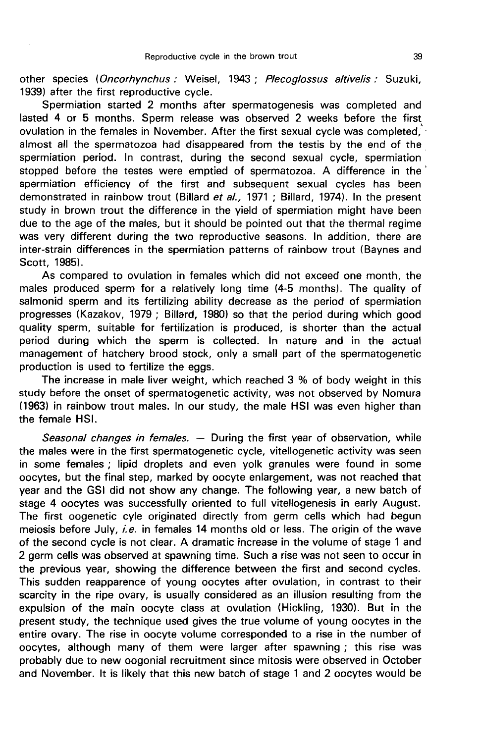other species (Oncorhynchus : Weisel, 1943 ; Plecoglossus altivelis : Suzuki, 1939) after the first reproductive cycle.

Spermiation started 2 months after spermatogenesis was completed and lasted 4 or 5 months. Sperm release was observed 2 weeks before the first ovulation in the females in November. After the first sexual cycle was completed, almost all the spermatozoa had disappeared from the testis by the end of the spermiation period. In contrast, during the second sexual cycle, spermiation stopped before the testes were emptied of spermatozoa. A difference in the spermiation efficiency of the first and subsequent sexual cycles has been demonstrated in rainbow trout (Billard et al., 1971 ; Billard, 1974). In the present study in brown trout the difference in the yield of spermiation might have been due to the age of the males, but it should be pointed out that the thermal regime was very different during the two reproductive seasons. In addition, there are inter-strain differences in the spermiation patterns of rainbow trout (Baynes and Scott, 1985).

As compared to ovulation in females which did not exceed one month, the males produced sperm for a relatively long time (4-5 months). The quality of salmonid sperm and its fertilizing ability decrease as the period of spermiation progresses (Kazakov, 1979 ; Billard, 1980) so that the period during which good quality sperm, suitable for fertilization is produced, is shorter than the actual period during which the sperm is collected. In nature and in the actual management of hatchery brood stock, only a small part of the spermatogenetic production is used to fertilize the eggs.

The increase in male liver weight, which reached 3 % of body weight in this study before the onset of spermatogenetic activity, was not observed by Nomura (1963) in rainbow trout males. In our study, the male HSI was even higher than the female HSI.

Seasonal changes in females.  $-$  During the first year of observation, while the males were in the first spermatogenetic cycle, vitellogenetic activity was seen in some females ; lipid droplets and even yolk granules were found in some oocytes, but the final step, marked by oocyte enlargement, was not reached that year and the GSI did not show any change. The following year, a new batch of stage 4 oocytes was successfully oriented to full vitellogenesis in early August. The first oogenetic cyle originated directly from germ cells which had begun meiosis before July, i.e. in females 14 months old or less. The origin of the wave of the second cycle is not clear. A dramatic increase in the volume of stage 1 and 2 germ cells was observed at spawning time. Such a rise was not seen to occur in the previous year, showing the difference between the first and second cycles. This sudden reapparence of young oocytes after ovulation, in contrast to their scarcity in the ripe ovary, is usually considered as an illusion resulting from the expulsion of the main oocyte class at ovulation (Hickling, 1930). But in the present study, the technique used gives the true volume of young oocytes in the entire ovary. The rise in oocyte volume corresponded to a rise in the number of oocytes, although many of them were larger after spawning ; this rise was probably due to new oogonial recruitment since mitosis were observed in October and November. It is likely that this new batch of stage 1 and 2 oocytes would be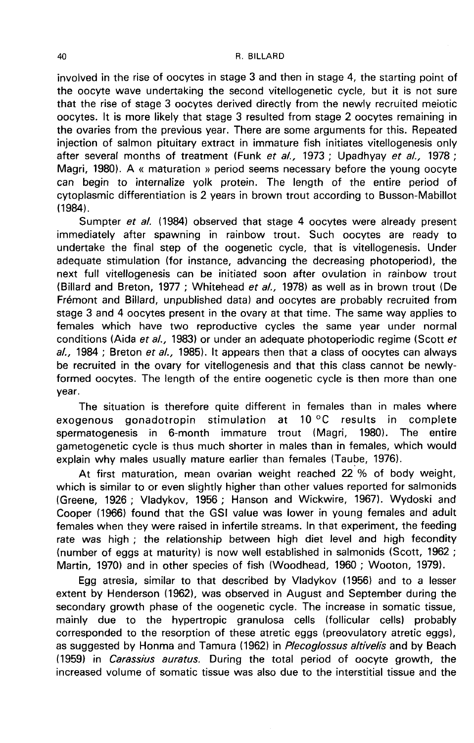involved in the rise of oocytes in stage 3 and then in stage 4, the starting point of the oocyte wave undertaking the second vitellogenetic cycle, but it is not sure that the rise of stage 3 oocytes derived directly from the newly recruited meiotic oocytes. It is more likely that stage 3 resulted from stage 2 oocytes remaining in the ovaries from the previous year. There are some arguments for this. Repeated injection of salmon pituitary extract in immature fish initiates vitellogenesis only after several months of treatment (Funk et al., 1973; Upadhyay et al., 1978; Magri, 1980). A « maturation » period seems necessary before the young oocyte can begin to internalize yolk protein. The length of the entire period of cytoplasmic differentiation is 2 years in brown trout according to Busson-Mabillot (1984).

Sumpter et al. (1984) observed that stage 4 oocytes were already present immediately after spawning in rainbow trout. Such oocytes are ready to undertake the final step of the oogenetic cycle, that is vitellogenesis. Under adequate stimulation (for instance, advancing the decreasing photoperiod), the next full vitellogenesis can be initiated soon after ovulation in rainbow trout (Billard and Breton, 1977 ; Whitehead et al., 1978) as well as in brown trout (De Frémont and Billard, unpublished data) and oocytes are probably recruited from stage 3 and 4 oocytes present in the ovary at that time. The same way applies to females which have two reproductive cycles the same year under normal conditions (Aida et al., 1983) or under an adequate photoperiodic regime (Scott et  $al.$ , 1984 ; Breton et  $al.$ , 1985). It appears then that a class of oocytes can always be recruited in the ovary for vitellogenesis and that this class cannot be newlyformed oocytes. The length of the entire oogenetic cycle is then more than one year.

The situation is therefore quite different in females than in males where exogenous gonadotropin stimulation at 10 °C results in complete<br>spermatogenesis in 6-month immature trout (Magri, 1980). The entire spermatogenesis in 6-month gametogenetic cycle is thus much shorter in males than in females, which would explain why males usually mature earlier than females (Taube, 1976).

At first maturation, mean ovarian weight reached 22 % of body weight, which is similar to or even slightly higher than other values reported for salmonids (Greene, 1926 ; Vladykov, 1956 ; Hanson and Wickwire, 1967). Wydoski and Cooper (1966) found that the GSI value was lower in young females and adult females when they were raised in infertile streams. In that experiment, the feeding rate was high ; the relationship between high diet level and high fecondity (number of eggs at maturity) is now well established in salmonids (Scott, 1962 ; Martin, 1970) and in other species of fish (Woodhead, 1960 ; Wooton, 1979).

Egg atresia, similar to that described by Vladykov (1956) and to a lesser extent by Henderson (1962), was observed in August and September during the secondary growth phase of the oogenetic cycle. The increase in somatic tissue, mainly due to the hypertropic granulosa cells (follicular cells) probably corresponded to the resorption of these atretic eggs (preovulatory atretic eggs), as suggested by Honma and Tamura (1962) in Plecoglossus altivelis and by Beach (1959) in Carassius auratus. During the total period of oocyte growth, the increased volume of somatic tissue was also due to the interstitial tissue and the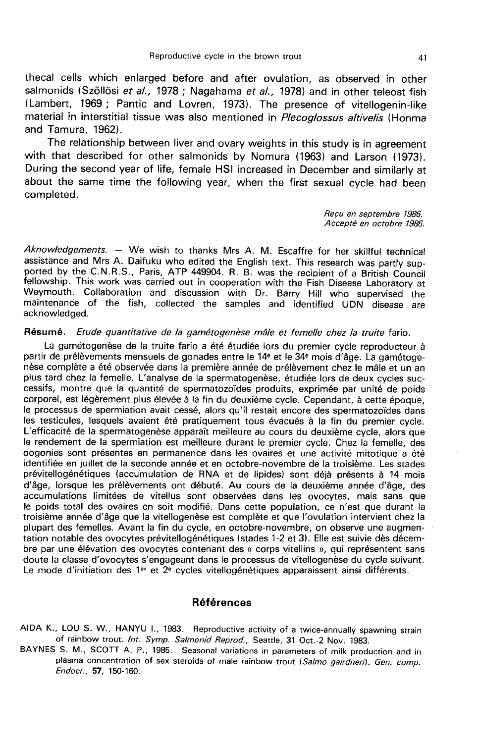thecal cells which enlarged before and after ovulation, as observed in other salmonids (Szöllösi et al., 1978 ; Nagahama et al., 1978) and in other teleost fish (Lambert, 1969 ; Pantic and Lovren, 1973). The presence of vitellogenin-like material in interstitial tissue was also mentioned in Plecoglossus altivelis (Honma and Tamura, 1962).

The relationship between liver and ovary weights in this study is in agreement with that described for other salmonids by Nomura (1963) and Larson (1973). During the second year of life, female HSI increased in December and similarly at about the same time the following year, when the first sexual cycle had been completed.

> Requ en septembre 1986. Accepte en octobre 1986.

Aknowledgements. - We wish to thanks Mrs A. M. Escaffre for her skillful technical assistance and Mrs A. Daifuku who edited the English text. This research was partly supported by the C.N.R.S., Paris, ATP 449904. R. B. was the recipient of a British Council fellowship. This work was carried out in cooperation with the Fish Disease Laboratory at Weymouth. Collaboration and discussion with Dr. Barry Hill who supervised the maintenance of the fish, collected the samples and identified UDN disease are acknowledged.

### Résumé. Etude quantitative de la gamétogenèse mâle et femelle chez la truite fario.

La gamétogenèse de la truite fario a été étudiée lors du premier cycle reproducteur à nèse complète a été observée dans la première année de prélèvement chez le mâle et un an plus tard chez la femelle. L'analyse de la spermatogenèse, étudiée lors de deux cycles successifs, montre que la quantité de spermatozoïdes produits, exprimée par unité de poids corporel, est légèrement plus élevée à la fin du deuxième cycle. Cependant, à cette époque, le processus de spermiation avait cessé, alors qu'il restait encore des spermatozoïdes dans<br>les testicules, lesquels avaient été pratiquement tous évacués à la fin du premier cycle. L'efficacité de la spermatogenèse apparaît meilleure au cours du deuxième cycle, alors que le rendement de la spermiation est meilleure durant le premier cycle. Chez la femelle, des oogonies sont présentes en permanence dans les ovaires et une activité mitotique a été identifiée en juillet de la seconde année et en octobre-novembre de la troisième. Les stades prévitellogénétiques (accumulation de RNA et de lipides) sont déjà présents à 14 mois d'âge, lorsque les prélèvements ont débuté. Au cours de la deuxième année d'âge, des accumulations limitées de vitellus sont observées dans les ovocytes, mais sans que le poids total des ovaires en soit modifié. Dans cette population, ce n'est que durant la troisième année d'âge que la vitellogenèse est complète et que l'ovulation intervient chez la plupart des femelles. Avant la fin du cycle, en octobre-novembre, on observe une augmentation notable des ovocytes prévitellogénétiques (stades 1-2 et 31. Elle est suivie dès décembre par une élévation des ovocytes contenant des « corps vitellins », qui représentent sans doute la classe d'ovocytes s'engageant dans le processus de vitellogenèse du cycle suivant. Le mode d'initiation des 1<sup>er</sup> et  $2^e$  cycles vitellogénétiques apparaissent ainsi différents.

# Références

AIDA K., LOU S. W., HANYU L, 1983. Reproductive activity of a twice-annually spawning strain of rainbow trout. Int. Symp. Salmonid Reprod., Seattle, 31 Oct.-2 Nov. 1983.

BAYNES S. M., SCOTT A. P., 1985. Seasonal variations in parameters of milk production and in plasma concentration of sex steroids of male rainbow trout (Salmo gairdneri). Gen. comp. Endocr., 57, 150-160.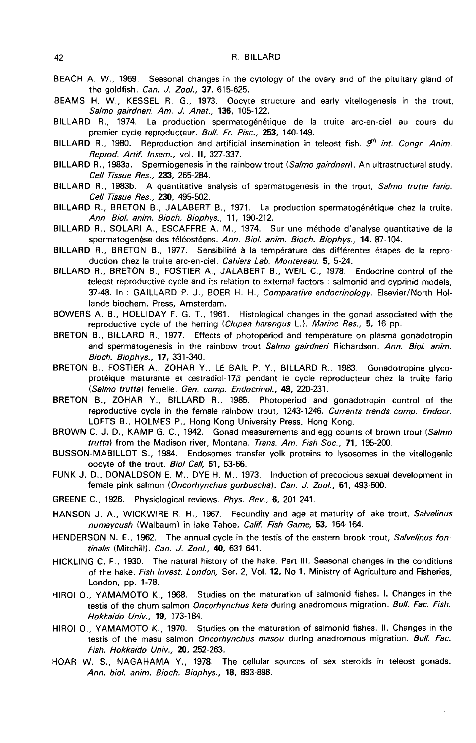- BEACH A. W., 1959. Seasonal changes in the cytology of the ovary and of the pituitary gland of the goldfish. Can. J. Zool., 37, 615-625.
- BEAMS H. W., KESSEL R. G., 1973. Oocyte structure and early vitellogenesis in the trout, Salmo gairdneri. Am. J. Anat., 136, 105-122.
- BILLARD R., 1974. La production spermatogénétique de la truite arc-en-ciel au cours du premier cycle reproducteur. Bull. Fr. Pisc., 253, 140-149.
- BILLARD R., 1980. Reproduction and artificial insemination in teleost fish.  $9<sup>th</sup>$  int. Congr. Anim. Reprod. Artif. lnsem., vol. Il, 327-337.
- BILLARD R., 1983a. Spermiogenesis in the rainbow trout (Salmo gairdneri). An ultrastructural study. Cell Tissue Res., 233, 265-284.
- BILLARD R., 1983b. A quantitative analysis of spermatogenesis in the trout, Salmo trutte fario. Cell Tissue Res., 230, 495-502.
- BILLARD R., BRETON B., JALABERT B., 1971. La production spermatogénétique chez la truite. Ann. Biol. anim. Bioch. Biophys., 11, 190-212.
- BILLARD R., SOLARI A., ESCAFFRE A. M., 1974. Sur une méthode d'analyse quantitative de la spermatogenèse des téléostéens. Ann. Siol. anim. Bioch. Biophys., 14, 87-104.
- BILLARD R., BRETON B., 1977. Sensibilité à la température des différentes étapes de la reproduction chez la truite arc-en-ciel. Cahiers Lab. Montereau, 5, 5-24.
- BILLARD R., BRETON B., FOSTIER A., JALABERT B., WEIL C., 1978. Endocrine control of the teleost reproductive cycle and its relation to external factors : salmonid and cyprinid models, 37-48. In: GAILLARD P. J., BOER H. H., Comparative endocrinology. Elsevier/North Hollande biochem. Press, Amsterdam.
- BOWERS A. B., HOLLIDAY F. G. T., 1961. Histological changes in the gonad associated with the reproductive cycle of the herring (Clupea harengus L.). Marine Res., 5, 16 pp.
- BRETON B., BILLARD R., 1977. Effects of photoperiod and temperature on plasma gonadotropin and spermatogenesis in the rainbow trout Salmo gairdneri Richardson. Ann. Biol. anim. Bioch. Biophys., 17, 331-340.
- BRETON B., FOSTIER A., ZOHAR Y., LE BAIL P. Y., BILLARD R., 1983. Gonadotropine glycoprotéique maturante et cestradiol-17 $\beta$  pendant le cycle reproducteur chez la truite fario (Salmo trutta) femelle. Gen. comp. Endocrinol., 49, 220-231.
- BRETON B., ZOHAR Y., BILLARD R., 1985. Photoperiod and gonadotropin control of the reproductive cycle in the female rainbow trout, 1243-1246. Currents trends comp. Endocr.<br>LOFTS B., HOLMES P., Hong Kong University Press, Hong Kong.
- BROWN C. J. D., KAMP G. C., 1942. Gonad measurements and egg counts of brown trout (Salmo trutta) from the Madison river, Montana. Trans. Am. Fish Soc., 71, 195-200.
- BUSSON-MABILLOT S., 1984. Endosomes transfer yolk proteins to lysosomes in the vitellogenic oocyte of the trout. Biol Cell, 51, 53-66.
- FUNK J. D., DONALDSON E. M., DYE H. M., 1973. Induction of precocious sexual development in female pink salmon (Oncorhynchus gorbuscha). Can. J. Zool., 51, 493-500.
- GREENE C., 1926. Physiological reviews. Phys. Rev., 6, 201-241.
- HANSON J. A., WICKWIRE R. H., 1967. Fecundity and age at maturity of lake trout, Salvelinus numaycush (Walbaum) in lake Tahoe. Calif. Fish Game, 53, 154-164.
- HENDERSON N. E., 1962. The annual cycle in the testis of the eastern brook trout, Salvelinus fontinalis (Mitchill). Can. J. Zool., 40, 631-641.
- HICKLING C. F., 1930. The natural history of the hake. Part III. Seasonal changes in the conditions of the hake. Fish Invest. London, Ser. 2, Vol. 12, No 1. Ministry of Agriculture and Fisheries, London, pp. 1-78.
- HIROI O., YAMAMOTO K., 1968. Studies on the maturation of salmonid fishes. 1. Changes in the testis of the chum salmon Oncorhynchus keta during anadromous migration. Bull. Fac. Fish. Hokkaido Univ., 19, 173-184.
- HIROI O., YAMAMOTO K., 1970. Studies on the maturation of salmonid fishes. Il. Changes in the testis of the masu salmon Oncorhynchus masou during anadromous migration. Bull. Fac. Fish. Hokkaido Univ., 20, 252-263.
- HOAR W. S., NAGAHAMA Y., 1978. The cellular sources of sex steroids in teleost gonads. Ann. biol. anim. Bioch. Biophys., 18, 893-898.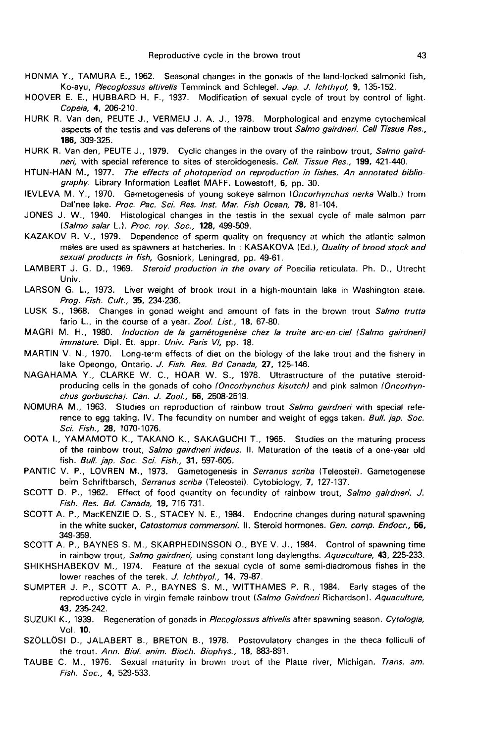- HONMA Y., TAMURA E., 1962. Seasonal changes in the gonads of the land-locked salmonid fish, Ko-ayu, Plecoglossus altivelis Temminck and Schlegel. Jap. J. lchthyol, 9, 135-152.
- HOOVER E. E., HUBBARD H. F., 1937. Modification of sexual cycle of trout by control of light. Copeia, 4, 206-210.
- HURK R. Van den, PEUTE J., VERMEIJ J. A. J., 1978. Morphological and enzyme cytochemical aspects of the testis and vas deferens of the rainbow trout Salmo gairdneri. Cell Tissue Res., 186, 309-325.
- HURK R. Van den, PEUTE J., 1979. Cyclic changes in the ovary of the rainbow trout, Salmo gairdneri, with special reference to sites of steroidogenesis. Cell. Tissue Res., 199, 421-440.
- HTUN-HAN M., 1977. The effects of photoperiod on reproduction in fishes. An annotated bibliography. Library Information Leaflet MAFF. Lowestoff, 6, pp. 30.
- IEVLEVA M. Y., 1970. Gametogenesis of young sokeye salmon (Oncorhynchus nerka Walb.) from Dal'nee lake. Proc. Pac. Sci. Res. Inst. Mar. Fish Ocean, 78, 81-104.
- JONES J. W., 1940. Histological changes in the testis in the sexual cycle of male salmon parr (Salmo salar L.). Proc. roy. Soc., 128, 499-509.
- KAZAKOV R. V., 1979. Dependence of sperm quality on frequency at which the atlantic salmon males are used as spawners at hatcheries. In: KASAKOVA (Ed.), Quality of brood stock and sexual products in fish, Gosniork, Leningrad, pp. 49-61.
- LAMBERT J. G. D., 1969. Steroid production in the ovary of Poecilia reticulata. Ph. D., Utrecht Univ.
- LARSON G. L., 1973. Liver weight of brook trout in a high-mountain lake in Washington state. Prog. Fish. Cult., 35, 234-236.
- LUSK S., 1968. Changes in gonad weight and amount of fats in the brown trout Salmo trutta fario L., in the course of a year. Zool. List., 18, 67-80.
- MAGRI M. H., 1980. Induction de la gamétogenèse chez la truite arc-en-ciel (Salmo gairdneri) immature. Dipl. Et. appr. Univ. Paris VI, pp. 18.
- MARTIN V. N., 1970. Long-te-m effects of diet on the biology of the lake trout and the fishery in lake Opeongo, Ontario. J. Fish. Res. Bd Canada, 27, 125-146.
- NAGAHAMA Y., CLARKE W. C., HOAR W. S., 1978. Ultrastructure of the putative steroidproducing cells in the gonads of coho (Oncorhynchus kisutch) and pink salmon (Oncorhynchus gorbuscha). Can. J. Zool, 56, 2508-2519.
- NOMURA M., 1963. Studies on reproduction of rainbow trout Salmo gairdneri with special reference to egg taking. IV. The fecundity on number and weight of eggs taken. Bull. jap. Soc. Sci. Fish., 28, 1070-1076.
- OOTA L, YAMAMOTO K., TAKANO K., SAKAGUCHI T., 1965. Studies on the maturing process of the rainbow trout, Salmo gairdneri irideus. II. Maturation of the testis of a one-year old fish. Bull. jap. Soc. Sci. Fish., 31, 597-605.
- PANTIC V. P., LOVREN M., 1973. Gametogenesis in Serranus scriba (Teleostei). Gametogenese beim Schriftbarsch, Serranus scriba (Teleostei). Cytobiology, 7, 127-137.
- SCOTT D. P., 1962. Effect of food quantity on fecundity of rainbow trout, Salmo gairdneri. J. Fish. Res. Bd. Canada, 19, 715-731.
- SCOTT A. P., MacKENZIE D. S., STACEY N. E., 1984. Endocrine changes during natural spawning in the white sucker, Catostomus commersoni. II. Steroid hormones. Gen. comp. Endocr., 56, 349-359.
- SCOTT A. P., BAYNES S. M., SKARPHEDINSSON O., BYE V. J., 1984. Control of spawning time in rainbow trout, Salmo gairdneri, using constant long daylengths. Aquaculture, 43, 225-233.
- SHIKHSHABEKOV M., 1974. Feature of the sexual cycle of some semi-diadromous fishes in the lower reaches of the terek. J. lchthyol., 14, 79-87.
- SUMPTER J. P., SCOTT A. P., BAYNES S. M., WITTHAMES P. R., 1984. Early stages of the reproductive cycle in virgin female rainbow trout (Salmo Gairdneri Richardson). Aquaculture, 43, 235-242.
- SUZUKI K., 1939. Regeneration of gonads in Plecoglossus altivelis after spawning season. Cytologia, Vol. 10.
- SZOLLÔSI D., JALABERT B., BRETON B., 1978. Postovulatory changes in the theca folliculi of the trout. Ann. Biol. anim. Bioch. Biophys., 18, 883-891.
- TAUBE C. M., 1976. Sexual maturity in brown trout of the Platte river, Michigan. Trans. am. Fish. Soc., 4, 529-533.